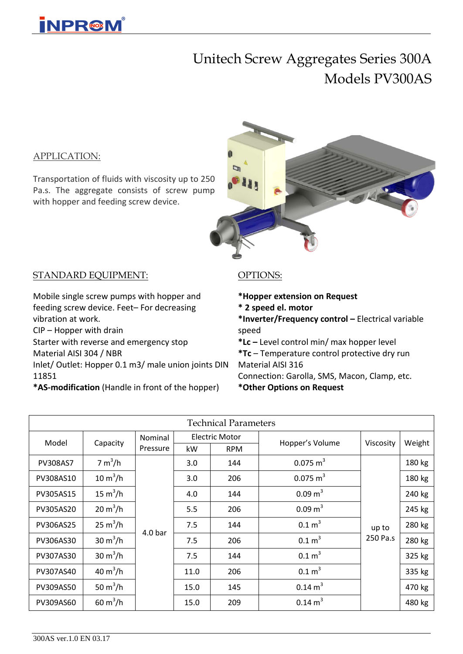## Unitech Screw Aggregates Series 300A Models PV300AS

#### APPLICATION:

Transportation of fluids with viscosity up to 250 Pa.s. The aggregate consists of screw pump with hopper and feeding screw device.



#### STANDARD EQUIPMENT:

Mobile single screw pumps with hopper and feeding screw device. Feet– For decreasing vibration at work.

CIP – Hopper with drain

Starter with reverse and emergency stop

Material AISI 304 / NBR

Inlet/ Outlet: Hopper 0.1 m3/ male union joints DIN 11851

**\*AS-modification** (Handle in front of the hopper)

#### OPTIONS:

**\*Hopper extension on Request**

**\* 2 speed el. motor**

**\*Inverter/Frequency control –** Electrical variable speed

**\*Lc –** Level control min/ max hopper level **\*Tc** – Temperature control protective dry run Material AISI 316 Connection: Garolla, SMS, Macon, Clamp, etc.

**\*Other Options on Request**

| <b>Technical Parameters</b> |                     |                    |                       |            |                     |           |        |  |  |  |
|-----------------------------|---------------------|--------------------|-----------------------|------------|---------------------|-----------|--------|--|--|--|
| Model                       | Capacity            | Nominal            | <b>Electric Motor</b> |            | Hopper's Volume     | Viscosity | Weight |  |  |  |
|                             |                     | Pressure           | kW                    | <b>RPM</b> |                     |           |        |  |  |  |
| <b>PV308AS7</b>             | 7 m <sup>3</sup> /h | 4.0 <sub>bar</sub> | 3.0                   | 144        | $0.075 \text{ m}^3$ |           | 180 kg |  |  |  |
| PV308AS10                   | $10 \text{ m}^3/h$  |                    | 3.0                   | 206        | $0.075 \text{ m}^3$ |           | 180 kg |  |  |  |
| PV305AS15                   | 15 $m^3/h$          |                    | 4.0                   | 144        | $0.09 \text{ m}^3$  |           | 240 kg |  |  |  |
| PV305AS20                   | $20 \text{ m}^3/h$  |                    | 5.5                   | 206        | $0.09 \text{ m}^3$  |           | 245 kg |  |  |  |
| PV306AS25                   | $25 \text{ m}^3/h$  |                    | 7.5                   | 144        | 0.1 m <sup>3</sup>  | up to     | 280 kg |  |  |  |
| PV306AS30                   | $30 \text{ m}^3/h$  |                    | 7.5                   | 206        | 0.1 m <sup>3</sup>  | 250 Pa.s  | 280 kg |  |  |  |
| PV307AS30                   | $30 \text{ m}^3/h$  |                    | 7.5                   | 144        | 0.1 m <sup>3</sup>  |           | 325 kg |  |  |  |
| PV307AS40                   | 40 $m^3/h$          |                    | 11.0                  | 206        | 0.1 m <sup>3</sup>  |           | 335 kg |  |  |  |
| PV309AS50                   | 50 $m^3/h$          |                    | 15.0                  | 145        | $0.14 \text{ m}^3$  |           | 470 kg |  |  |  |
| PV309AS60                   | 60 $m^3/h$          |                    | 15.0                  | 209        | $0.14 \text{ m}^3$  |           | 480 kg |  |  |  |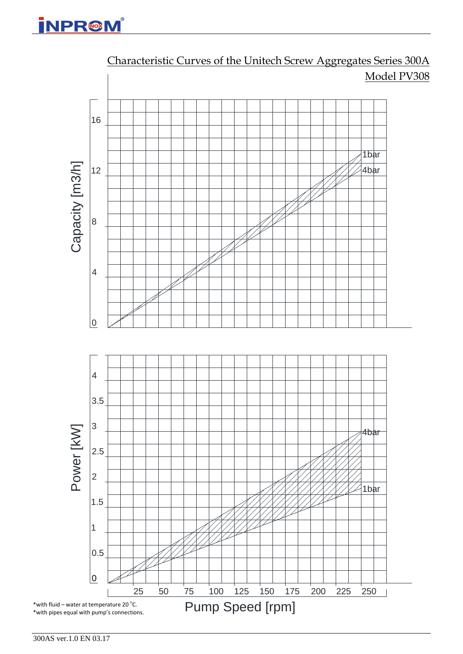

Characteristic Curves of the Unitech Screw Aggregates Series 300A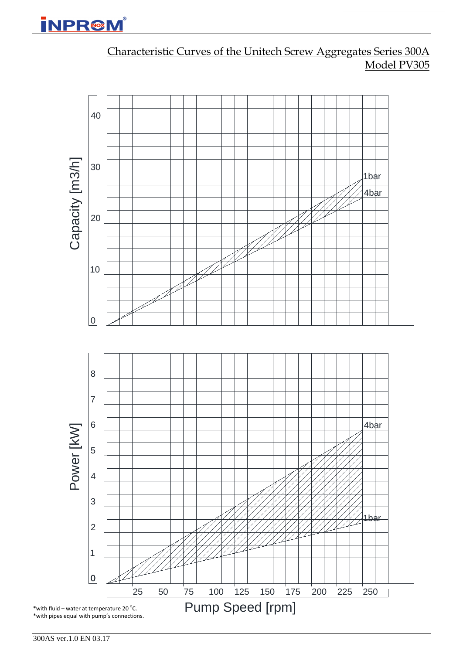

Characteristic Curves of the Unitech Screw Aggregates Series 300A Model PV305

300AS ver.1.0 EN 03.17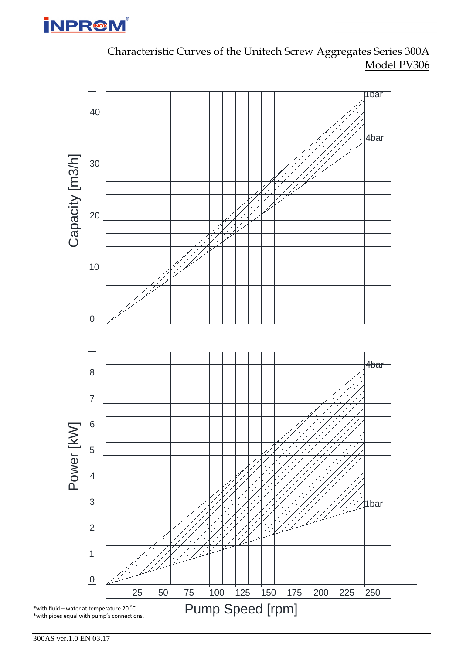

Characteristic Curves of the Unitech Screw Aggregates Series 300A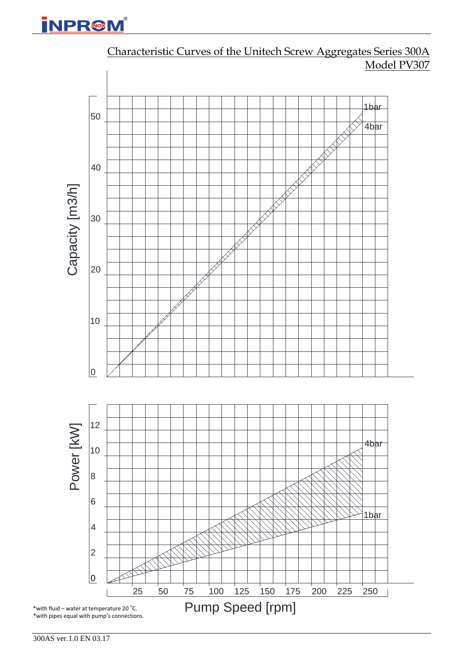

Characteristic Curves of the Unitech Screw Aggregates Series 300A Model PV307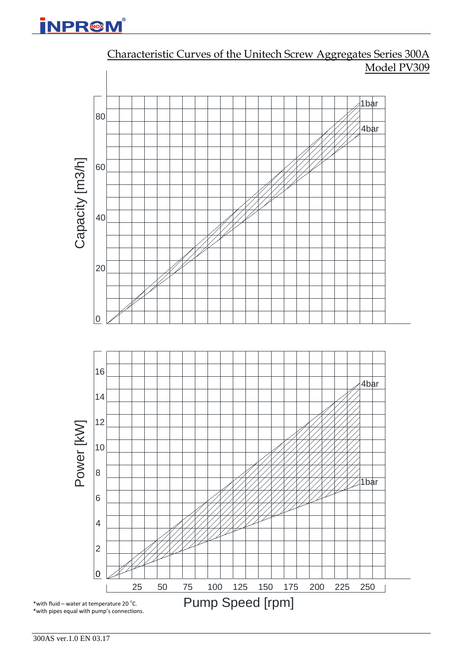

Characteristic Curves of the Unitech Screw Aggregates Series 300A Model PV309